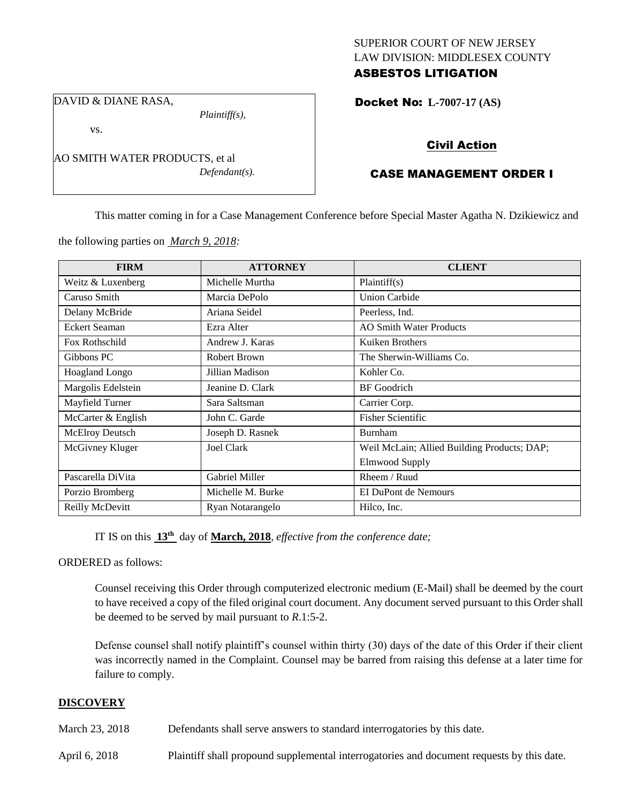### SUPERIOR COURT OF NEW JERSEY LAW DIVISION: MIDDLESEX COUNTY ASBESTOS LITIGATION

DAVID & DIANE RASA,

vs.

*Plaintiff(s),*

*Defendant(s).*

Docket No: **L-7007-17 (AS)** 

## Civil Action

# CASE MANAGEMENT ORDER I

This matter coming in for a Case Management Conference before Special Master Agatha N. Dzikiewicz and

the following parties on *March 9, 2018:*

AO SMITH WATER PRODUCTS, et al

| <b>FIRM</b>            | <b>ATTORNEY</b>   | <b>CLIENT</b>                               |
|------------------------|-------------------|---------------------------------------------|
| Weitz & Luxenberg      | Michelle Murtha   | Plaintiff(s)                                |
| Caruso Smith           | Marcia DePolo     | <b>Union Carbide</b>                        |
| Delany McBride         | Ariana Seidel     | Peerless, Ind.                              |
| <b>Eckert Seaman</b>   | Ezra Alter        | <b>AO Smith Water Products</b>              |
| Fox Rothschild         | Andrew J. Karas   | Kuiken Brothers                             |
| Gibbons PC             | Robert Brown      | The Sherwin-Williams Co.                    |
| <b>Hoagland Longo</b>  | Jillian Madison   | Kohler Co.                                  |
| Margolis Edelstein     | Jeanine D. Clark  | <b>BF</b> Goodrich                          |
| Mayfield Turner        | Sara Saltsman     | Carrier Corp.                               |
| McCarter & English     | John C. Garde     | <b>Fisher Scientific</b>                    |
| <b>McElroy Deutsch</b> | Joseph D. Rasnek  | Burnham                                     |
| McGivney Kluger        | Joel Clark        | Weil McLain; Allied Building Products; DAP; |
|                        |                   | <b>Elmwood Supply</b>                       |
| Pascarella DiVita      | Gabriel Miller    | Rheem / Ruud                                |
| Porzio Bromberg        | Michelle M. Burke | EI DuPont de Nemours                        |
| Reilly McDevitt        | Ryan Notarangelo  | Hilco, Inc.                                 |

IT IS on this **13th** day of **March, 2018**, *effective from the conference date;*

ORDERED as follows:

Counsel receiving this Order through computerized electronic medium (E-Mail) shall be deemed by the court to have received a copy of the filed original court document. Any document served pursuant to this Order shall be deemed to be served by mail pursuant to *R*.1:5-2.

Defense counsel shall notify plaintiff's counsel within thirty (30) days of the date of this Order if their client was incorrectly named in the Complaint. Counsel may be barred from raising this defense at a later time for failure to comply.

### **DISCOVERY**

March 23, 2018 Defendants shall serve answers to standard interrogatories by this date.

April 6, 2018 Plaintiff shall propound supplemental interrogatories and document requests by this date.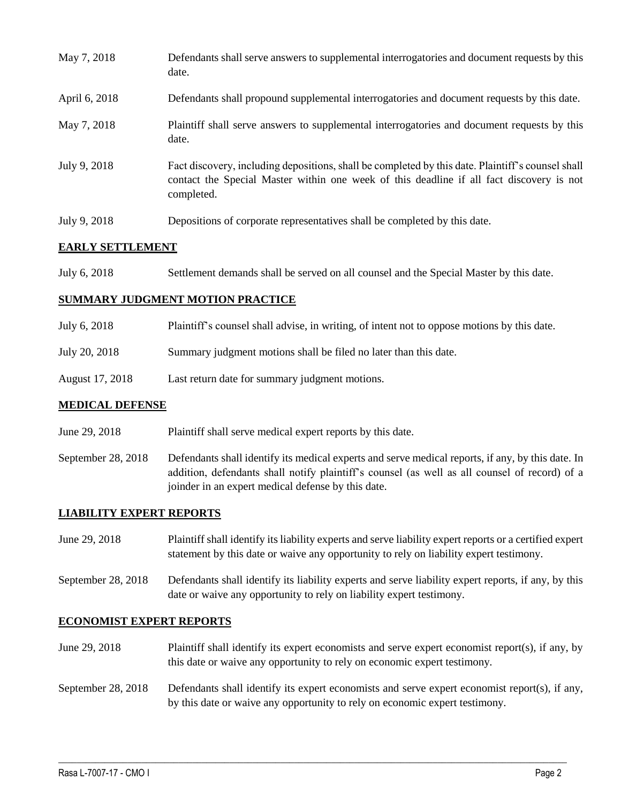| May 7, 2018   | Defendants shall serve answers to supplemental interrogatories and document requests by this<br>date.                                                                                                       |
|---------------|-------------------------------------------------------------------------------------------------------------------------------------------------------------------------------------------------------------|
| April 6, 2018 | Defendants shall propound supplemental interrogatories and document requests by this date.                                                                                                                  |
| May 7, 2018   | Plaintiff shall serve answers to supplemental interrogatories and document requests by this<br>date.                                                                                                        |
| July 9, 2018  | Fact discovery, including depositions, shall be completed by this date. Plaintiff's counsel shall<br>contact the Special Master within one week of this deadline if all fact discovery is not<br>completed. |
| July 9, 2018  | Depositions of corporate representatives shall be completed by this date.                                                                                                                                   |

### **EARLY SETTLEMENT**

July 6, 2018 Settlement demands shall be served on all counsel and the Special Master by this date.

#### **SUMMARY JUDGMENT MOTION PRACTICE**

- July 6, 2018 Plaintiff's counsel shall advise, in writing, of intent not to oppose motions by this date.
- July 20, 2018 Summary judgment motions shall be filed no later than this date.
- August 17, 2018 Last return date for summary judgment motions.

#### **MEDICAL DEFENSE**

- June 29, 2018 Plaintiff shall serve medical expert reports by this date.
- September 28, 2018 Defendants shall identify its medical experts and serve medical reports, if any, by this date. In addition, defendants shall notify plaintiff's counsel (as well as all counsel of record) of a joinder in an expert medical defense by this date.

### **LIABILITY EXPERT REPORTS**

- June 29, 2018 Plaintiff shall identify its liability experts and serve liability expert reports or a certified expert statement by this date or waive any opportunity to rely on liability expert testimony.
- September 28, 2018 Defendants shall identify its liability experts and serve liability expert reports, if any, by this date or waive any opportunity to rely on liability expert testimony.

#### **ECONOMIST EXPERT REPORTS**

June 29, 2018 Plaintiff shall identify its expert economists and serve expert economist report(s), if any, by this date or waive any opportunity to rely on economic expert testimony.

# September 28, 2018 Defendants shall identify its expert economists and serve expert economist report(s), if any, by this date or waive any opportunity to rely on economic expert testimony.

 $\_$  ,  $\_$  ,  $\_$  ,  $\_$  ,  $\_$  ,  $\_$  ,  $\_$  ,  $\_$  ,  $\_$  ,  $\_$  ,  $\_$  ,  $\_$  ,  $\_$  ,  $\_$  ,  $\_$  ,  $\_$  ,  $\_$  ,  $\_$  ,  $\_$  ,  $\_$  ,  $\_$  ,  $\_$  ,  $\_$  ,  $\_$  ,  $\_$  ,  $\_$  ,  $\_$  ,  $\_$  ,  $\_$  ,  $\_$  ,  $\_$  ,  $\_$  ,  $\_$  ,  $\_$  ,  $\_$  ,  $\_$  ,  $\_$  ,